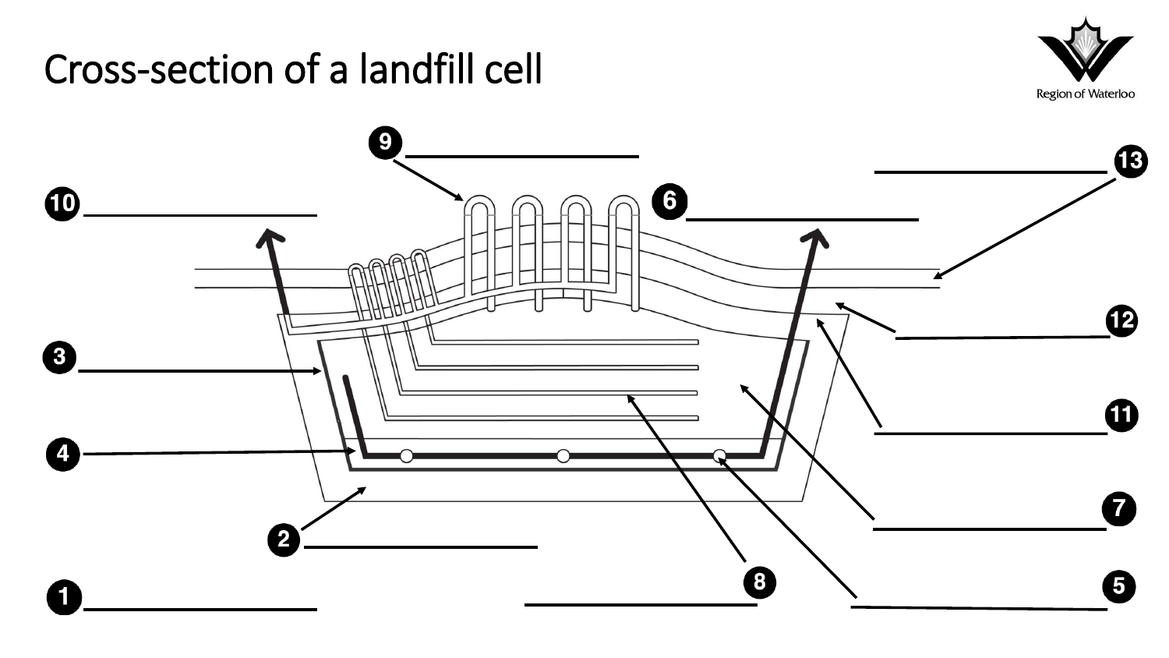#### Cross-section of a landfill cell



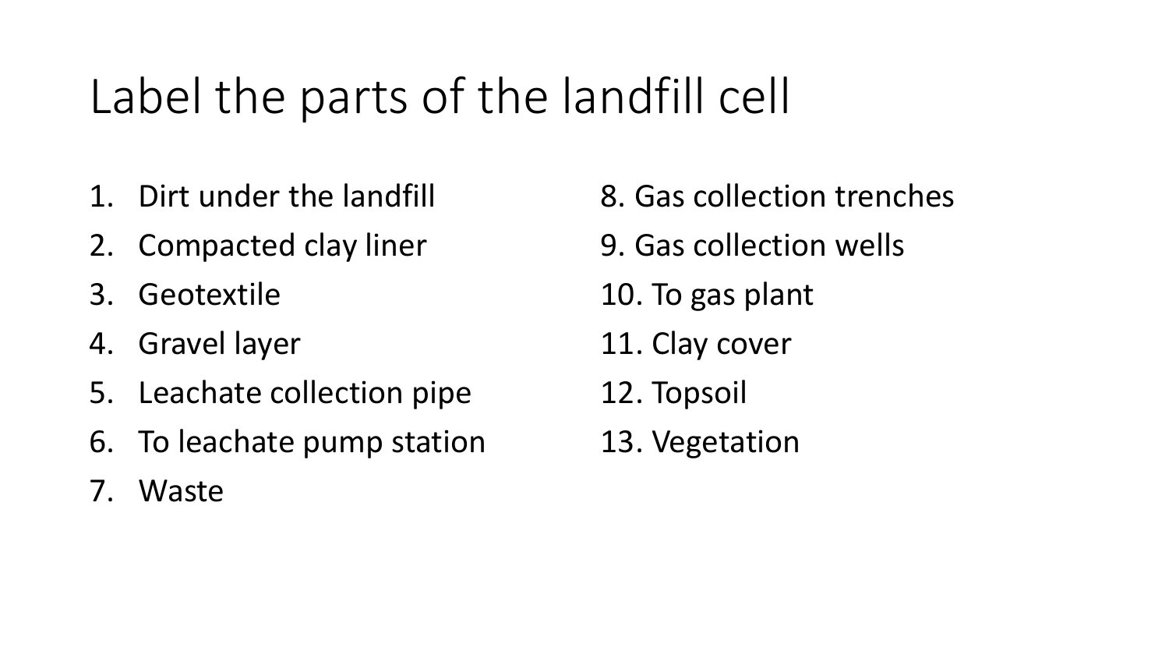# Label the parts of the landfill cell

- 1. Dirt under the landfill
- 2. Compacted clay liner
- 3. Geotextile
- 4. Gravel layer
- 5. Leachate collection pipe
- 6. To leachate pump station
- 7. Waste
- 8. Gas collection trenches 9. Gas collection wells
- 10. To gas plant
- 11. Clay cover
- 12. Topsoil
- 13. Vegetation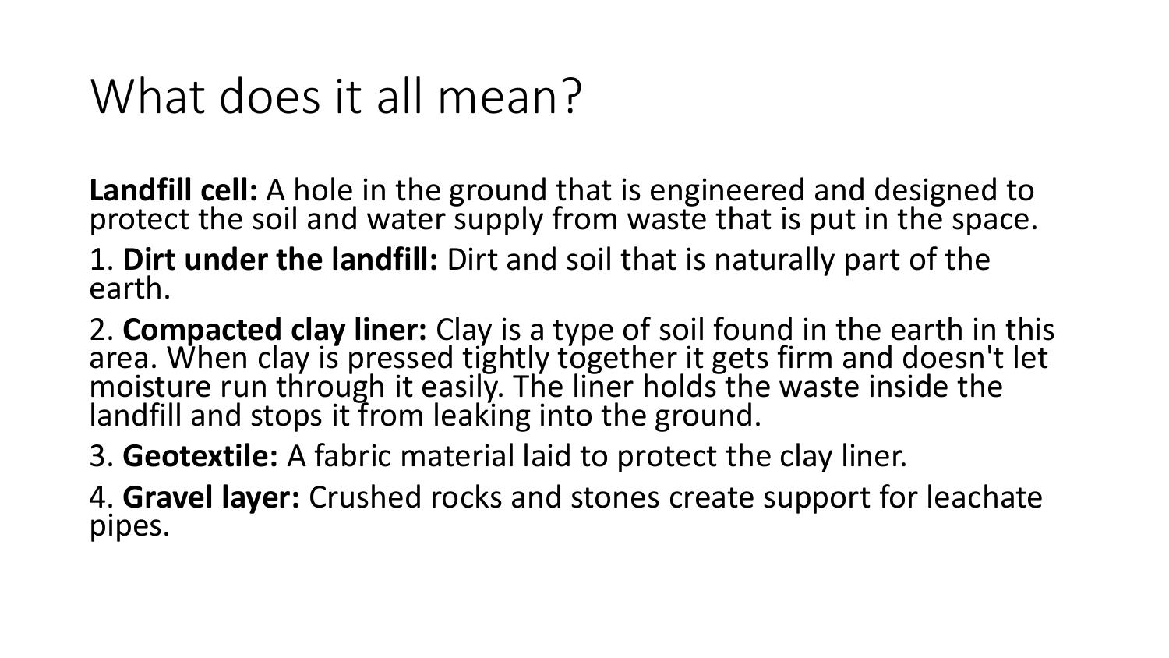# What does it all mean?

Landfill cell: A hole in the ground that is engineered and designed to protect the soil and water supply from waste that is put in the space.

1. **Dirt under the landfill:** Dirt and soil that is naturally part of the earth.

2. Compacted clay liner: Clay is a type of soil found in the earth in this area. When clay is pressed tightly together it gets firm and doesn't let moisture run through it easily. The liner holds the waste inside the landfill and stops it from leaking into the ground.

3. **Geotextile:** A fabric material laid to protect the clay liner.

4. **Gravel layer:** Crushed rocks and stones create support for leachate pipes.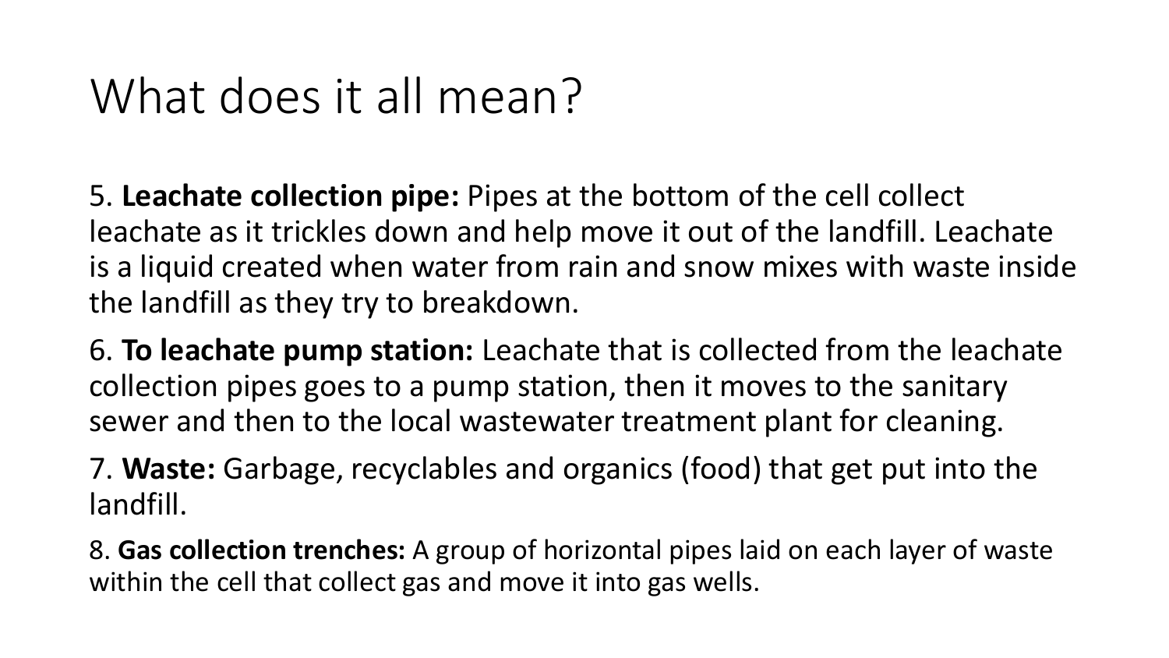## What does it all mean?

 leachate as it trickles down and help move it out of the landfill. Leachate 5. **Leachate collection pipe:** Pipes at the bottom of the cell collect is a liquid created when water from rain and snow mixes with waste inside the landfill as they try to breakdown.

6. **To leachate pump station:** Leachate that is collected from the leachate collection pipes goes to a pump station, then it moves to the sanitary sewer and then to the local wastewater treatment plant for cleaning.

7. **Waste:** Garbage, recyclables and organics (food) that get put into the landfill.

8. **Gas collection trenches:** A group of horizontal pipes laid on each layer of waste within the cell that collect gas and move it into gas wells.